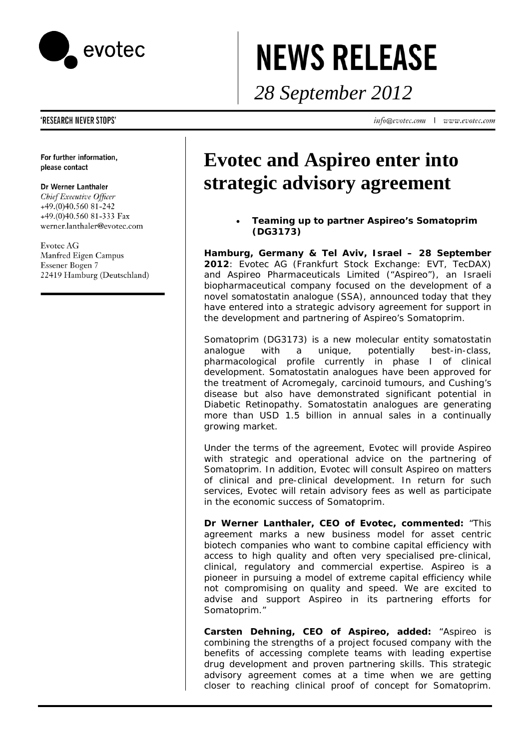

# **NEWS RELEASE**

*28 September 2012* 

info@evotec.com | www.evotec.com

## 'RESEARCH NEVER STOPS'

For further information, please contact

### Dr Werner Lanthaler

Chief Executive Officer +49.(0)40.560 81-242 +49.(0)40.560 81-333 Fax werner.lanthaler@evotec.com

Evotec AG Manfred Eigen Campus Essener Bogen 7 22419 Hamburg (Deutschland)

# **Evotec and Aspireo enter into strategic advisory agreement**

• **Teaming up to partner Aspireo's Somatoprim (DG3173)**

**Hamburg, Germany & Tel Aviv, Israel – 28 September 2012***:* Evotec AG (Frankfurt Stock Exchange: EVT, TecDAX) and Aspireo Pharmaceuticals Limited ("Aspireo"), an Israeli biopharmaceutical company focused on the development of a novel somatostatin analogue (SSA), announced today that they have entered into a strategic advisory agreement for support in the development and partnering of Aspireo's Somatoprim.

Somatoprim (DG3173) is a new molecular entity somatostatin analogue with a unique, potentially best-in-class, pharmacological profile currently in phase I of clinical development. Somatostatin analogues have been approved for the treatment of Acromegaly, carcinoid tumours, and Cushing's disease but also have demonstrated significant potential in Diabetic Retinopathy. Somatostatin analogues are generating more than USD 1.5 billion in annual sales in a continually growing market.

Under the terms of the agreement, Evotec will provide Aspireo with strategic and operational advice on the partnering of Somatoprim. In addition, Evotec will consult Aspireo on matters of clinical and pre-clinical development. In return for such services, Evotec will retain advisory fees as well as participate in the economic success of Somatoprim.

**Dr Werner Lanthaler, CEO of Evotec, commented:** "This agreement marks a new business model for asset centric biotech companies who want to combine capital efficiency with access to high quality and often very specialised pre-clinical, clinical, regulatory and commercial expertise. Aspireo is a pioneer in pursuing a model of extreme capital efficiency while not compromising on quality and speed. We are excited to advise and support Aspireo in its partnering efforts for Somatoprim."

**Carsten Dehning, CEO of Aspireo, added:** "Aspireo is combining the strengths of a project focused company with the benefits of accessing complete teams with leading expertise drug development and proven partnering skills. This strategic advisory agreement comes at a time when we are getting closer to reaching clinical proof of concept for Somatoprim.